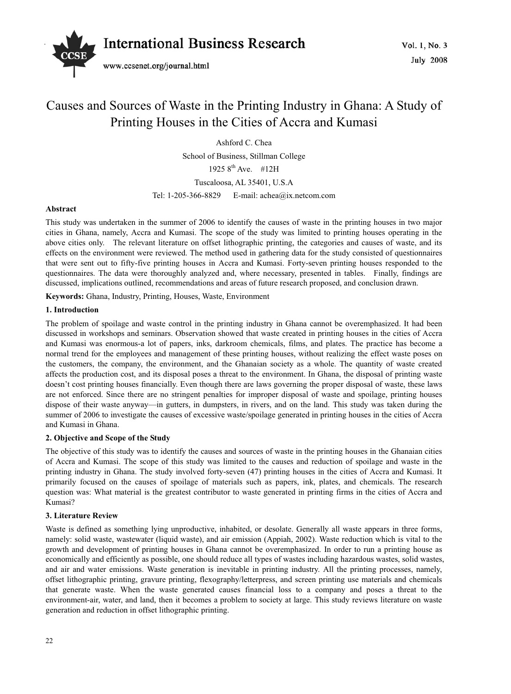

# Causes and Sources of Waste in the Printing Industry in Ghana: A Study of Printing Houses in the Cities of Accra and Kumasi

Ashford C. Chea

School of Business, Stillman College 1925  $8^{th}$  Ave. #12H

Tuscaloosa, AL 35401, U.S.A

Tel: 1-205-366-8829 E-mail: achea@ix.netcom.com

## **Abstract**

This study was undertaken in the summer of 2006 to identify the causes of waste in the printing houses in two major cities in Ghana, namely, Accra and Kumasi. The scope of the study was limited to printing houses operating in the above cities only. The relevant literature on offset lithographic printing, the categories and causes of waste, and its effects on the environment were reviewed. The method used in gathering data for the study consisted of questionnaires that were sent out to fifty-five printing houses in Accra and Kumasi. Forty-seven printing houses responded to the questionnaires. The data were thoroughly analyzed and, where necessary, presented in tables. Finally, findings are discussed, implications outlined, recommendations and areas of future research proposed, and conclusion drawn.

**Keywords:** Ghana, Industry, Printing, Houses, Waste, Environment

## **1. Introduction**

The problem of spoilage and waste control in the printing industry in Ghana cannot be overemphasized. It had been discussed in workshops and seminars. Observation showed that waste created in printing houses in the cities of Accra and Kumasi was enormous-a lot of papers, inks, darkroom chemicals, films, and plates. The practice has become a normal trend for the employees and management of these printing houses, without realizing the effect waste poses on the customers, the company, the environment, and the Ghanaian society as a whole. The quantity of waste created affects the production cost, and its disposal poses a threat to the environment. In Ghana, the disposal of printing waste doesn't cost printing houses financially. Even though there are laws governing the proper disposal of waste, these laws are not enforced. Since there are no stringent penalties for improper disposal of waste and spoilage, printing houses dispose of their waste anyway—in gutters, in dumpsters, in rivers, and on the land. This study was taken during the summer of 2006 to investigate the causes of excessive waste/spoilage generated in printing houses in the cities of Accra and Kumasi in Ghana.

## **2. Objective and Scope of the Study**

The objective of this study was to identify the causes and sources of waste in the printing houses in the Ghanaian cities of Accra and Kumasi. The scope of this study was limited to the causes and reduction of spoilage and waste in the printing industry in Ghana. The study involved forty-seven (47) printing houses in the cities of Accra and Kumasi. It primarily focused on the causes of spoilage of materials such as papers, ink, plates, and chemicals. The research question was: What material is the greatest contributor to waste generated in printing firms in the cities of Accra and Kumasi?

## **3. Literature Review**

Waste is defined as something lying unproductive, inhabited, or desolate. Generally all waste appears in three forms, namely: solid waste, wastewater (liquid waste), and air emission (Appiah, 2002). Waste reduction which is vital to the growth and development of printing houses in Ghana cannot be overemphasized. In order to run a printing house as economically and efficiently as possible, one should reduce all types of wastes including hazardous wastes, solid wastes, and air and water emissions. Waste generation is inevitable in printing industry. All the printing processes, namely, offset lithographic printing, gravure printing, flexography/letterpress, and screen printing use materials and chemicals that generate waste. When the waste generated causes financial loss to a company and poses a threat to the environment-air, water, and land, then it becomes a problem to society at large. This study reviews literature on waste generation and reduction in offset lithographic printing.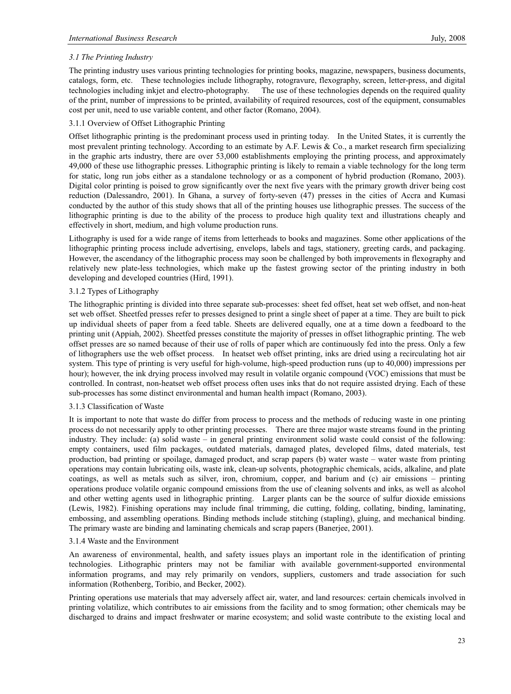# *3.1 The Printing Industry*

The printing industry uses various printing technologies for printing books, magazine, newspapers, business documents, catalogs, form, etc. These technologies include lithography, rotogravure, flexography, screen, letter-press, and digital technologies including inkjet and electro-photography. The use of these technologies depends on the required quality of the print, number of impressions to be printed, availability of required resources, cost of the equipment, consumables cost per unit, need to use variable content, and other factor (Romano, 2004).

# 3.1.1 Overview of Offset Lithographic Printing

Offset lithographic printing is the predominant process used in printing today. In the United States, it is currently the most prevalent printing technology. According to an estimate by A.F. Lewis & Co., a market research firm specializing in the graphic arts industry, there are over 53,000 establishments employing the printing process, and approximately 49,000 of these use lithographic presses. Lithographic printing is likely to remain a viable technology for the long term for static, long run jobs either as a standalone technology or as a component of hybrid production (Romano, 2003). Digital color printing is poised to grow significantly over the next five years with the primary growth driver being cost reduction (Dalessandro, 2001). In Ghana, a survey of forty-seven (47) presses in the cities of Accra and Kumasi conducted by the author of this study shows that all of the printing houses use lithographic presses. The success of the lithographic printing is due to the ability of the process to produce high quality text and illustrations cheaply and effectively in short, medium, and high volume production runs.

Lithography is used for a wide range of items from letterheads to books and magazines. Some other applications of the lithographic printing process include advertising, envelops, labels and tags, stationery, greeting cards, and packaging. However, the ascendancy of the lithographic process may soon be challenged by both improvements in flexography and relatively new plate-less technologies, which make up the fastest growing sector of the printing industry in both developing and developed countries (Hird, 1991).

# 3.1.2 Types of Lithography

The lithographic printing is divided into three separate sub-processes: sheet fed offset, heat set web offset, and non-heat set web offset. Sheetfed presses refer to presses designed to print a single sheet of paper at a time. They are built to pick up individual sheets of paper from a feed table. Sheets are delivered equally, one at a time down a feedboard to the printing unit (Appiah, 2002). Sheetfed presses constitute the majority of presses in offset lithographic printing. The web offset presses are so named because of their use of rolls of paper which are continuously fed into the press. Only a few of lithographers use the web offset process. In heatset web offset printing, inks are dried using a recirculating hot air system. This type of printing is very useful for high-volume, high-speed production runs (up to 40,000) impressions per hour); however, the ink drying process involved may result in volatile organic compound (VOC) emissions that must be controlled. In contrast, non-heatset web offset process often uses inks that do not require assisted drying. Each of these sub-processes has some distinct environmental and human health impact (Romano, 2003).

# 3.1.3 Classification of Waste

It is important to note that waste do differ from process to process and the methods of reducing waste in one printing process do not necessarily apply to other printing processes. There are three major waste streams found in the printing industry. They include: (a) solid waste – in general printing environment solid waste could consist of the following: empty containers, used film packages, outdated materials, damaged plates, developed films, dated materials, test production, bad printing or spoilage, damaged product, and scrap papers (b) water waste – water waste from printing operations may contain lubricating oils, waste ink, clean-up solvents, photographic chemicals, acids, alkaline, and plate coatings, as well as metals such as silver, iron, chromium, copper, and barium and (c) air emissions – printing operations produce volatile organic compound emissions from the use of cleaning solvents and inks, as well as alcohol and other wetting agents used in lithographic printing. Larger plants can be the source of sulfur dioxide emissions (Lewis, 1982). Finishing operations may include final trimming, die cutting, folding, collating, binding, laminating, embossing, and assembling operations. Binding methods include stitching (stapling), gluing, and mechanical binding. The primary waste are binding and laminating chemicals and scrap papers (Banerjee, 2001).

# 3.1.4 Waste and the Environment

An awareness of environmental, health, and safety issues plays an important role in the identification of printing technologies. Lithographic printers may not be familiar with available government-supported environmental information programs, and may rely primarily on vendors, suppliers, customers and trade association for such information (Rothenberg, Toribio, and Becker, 2002).

Printing operations use materials that may adversely affect air, water, and land resources: certain chemicals involved in printing volatilize, which contributes to air emissions from the facility and to smog formation; other chemicals may be discharged to drains and impact freshwater or marine ecosystem; and solid waste contribute to the existing local and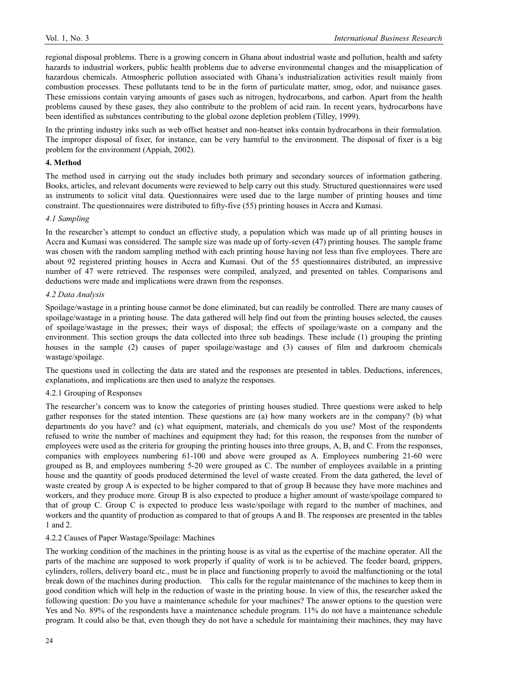regional disposal problems. There is a growing concern in Ghana about industrial waste and pollution, health and safety hazards to industrial workers, public health problems due to adverse environmental changes and the misapplication of hazardous chemicals. Atmospheric pollution associated with Ghana's industrialization activities result mainly from combustion processes. These pollutants tend to be in the form of particulate matter, smog, odor, and nuisance gases. These emissions contain varying amounts of gases such as nitrogen, hydrocarbons, and carbon. Apart from the health problems caused by these gases, they also contribute to the problem of acid rain. In recent years, hydrocarbons have been identified as substances contributing to the global ozone depletion problem (Tilley, 1999).

In the printing industry inks such as web offset heatset and non-heatset inks contain hydrocarbons in their formulation. The improper disposal of fixer, for instance, can be very harmful to the environment. The disposal of fixer is a big problem for the environment (Appiah, 2002).

### **4. Method**

The method used in carrying out the study includes both primary and secondary sources of information gathering. Books, articles, and relevant documents were reviewed to help carry out this study. Structured questionnaires were used as instruments to solicit vital data. Questionnaires were used due to the large number of printing houses and time constraint. The questionnaires were distributed to fifty-five (55) printing houses in Accra and Kumasi.

#### *4.1 Sampling*

In the researcher's attempt to conduct an effective study, a population which was made up of all printing houses in Accra and Kumasi was considered. The sample size was made up of forty-seven (47) printing houses. The sample frame was chosen with the random sampling method with each printing house having not less than five employees. There are about 92 registered printing houses in Accra and Kumasi. Out of the 55 questionnaires distributed, an impressive number of 47 were retrieved. The responses were compiled, analyzed, and presented on tables. Comparisons and deductions were made and implications were drawn from the responses.

### *4.2 Data Analysis*

Spoilage/wastage in a printing house cannot be done eliminated, but can readily be controlled. There are many causes of spoilage/wastage in a printing house. The data gathered will help find out from the printing houses selected, the causes of spoilage/wastage in the presses; their ways of disposal; the effects of spoilage/waste on a company and the environment. This section groups the data collected into three sub headings. These include (1) grouping the printing houses in the sample (2) causes of paper spoilage/wastage and (3) causes of film and darkroom chemicals wastage/spoilage.

The questions used in collecting the data are stated and the responses are presented in tables. Deductions, inferences, explanations, and implications are then used to analyze the responses.

#### 4.2.1 Grouping of Responses

The researcher's concern was to know the categories of printing houses studied. Three questions were asked to help gather responses for the stated intention. These questions are (a) how many workers are in the company? (b) what departments do you have? and (c) what equipment, materials, and chemicals do you use? Most of the respondents refused to write the number of machines and equipment they had; for this reason, the responses from the number of employees were used as the criteria for grouping the printing houses into three groups, A, B, and C. From the responses, companies with employees numbering 61-100 and above were grouped as A. Employees numbering 21-60 were grouped as B, and employees numbering 5-20 were grouped as C. The number of employees available in a printing house and the quantity of goods produced determined the level of waste created. From the data gathered, the level of waste created by group A is expected to be higher compared to that of group B because they have more machines and workers, and they produce more. Group B is also expected to produce a higher amount of waste/spoilage compared to that of group C. Group C is expected to produce less waste/spoilage with regard to the number of machines, and workers and the quantity of production as compared to that of groups A and B. The responses are presented in the tables 1 and 2.

#### 4.2.2 Causes of Paper Wastage/Spoilage: Machines

The working condition of the machines in the printing house is as vital as the expertise of the machine operator. All the parts of the machine are supposed to work properly if quality of work is to be achieved. The feeder board, grippers, cylinders, rollers, delivery board etc., must be in place and functioning properly to avoid the malfunctioning or the total break down of the machines during production. This calls for the regular maintenance of the machines to keep them in good condition which will help in the reduction of waste in the printing house. In view of this, the researcher asked the following question: Do you have a maintenance schedule for your machines? The answer options to the question were Yes and No. 89% of the respondents have a maintenance schedule program. 11% do not have a maintenance schedule program. It could also be that, even though they do not have a schedule for maintaining their machines, they may have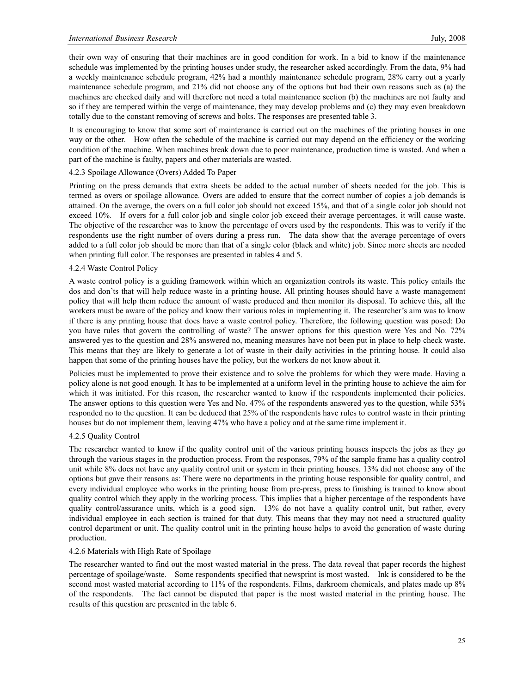their own way of ensuring that their machines are in good condition for work. In a bid to know if the maintenance schedule was implemented by the printing houses under study, the researcher asked accordingly. From the data, 9% had a weekly maintenance schedule program, 42% had a monthly maintenance schedule program, 28% carry out a yearly maintenance schedule program, and 21% did not choose any of the options but had their own reasons such as (a) the machines are checked daily and will therefore not need a total maintenance section (b) the machines are not faulty and so if they are tempered within the verge of maintenance, they may develop problems and (c) they may even breakdown totally due to the constant removing of screws and bolts. The responses are presented table 3.

It is encouraging to know that some sort of maintenance is carried out on the machines of the printing houses in one way or the other. How often the schedule of the machine is carried out may depend on the efficiency or the working condition of the machine. When machines break down due to poor maintenance, production time is wasted. And when a part of the machine is faulty, papers and other materials are wasted.

## 4.2.3 Spoilage Allowance (Overs) Added To Paper

Printing on the press demands that extra sheets be added to the actual number of sheets needed for the job. This is termed as overs or spoilage allowance. Overs are added to ensure that the correct number of copies a job demands is attained. On the average, the overs on a full color job should not exceed 15%, and that of a single color job should not exceed 10%. If overs for a full color job and single color job exceed their average percentages, it will cause waste. The objective of the researcher was to know the percentage of overs used by the respondents. This was to verify if the respondents use the right number of overs during a press run. The data show that the average percentage of overs added to a full color job should be more than that of a single color (black and white) job. Since more sheets are needed when printing full color. The responses are presented in tables 4 and 5.

### 4.2.4 Waste Control Policy

A waste control policy is a guiding framework within which an organization controls its waste. This policy entails the dos and don'ts that will help reduce waste in a printing house. All printing houses should have a waste management policy that will help them reduce the amount of waste produced and then monitor its disposal. To achieve this, all the workers must be aware of the policy and know their various roles in implementing it. The researcher's aim was to know if there is any printing house that does have a waste control policy. Therefore, the following question was posed: Do you have rules that govern the controlling of waste? The answer options for this question were Yes and No. 72% answered yes to the question and 28% answered no, meaning measures have not been put in place to help check waste. This means that they are likely to generate a lot of waste in their daily activities in the printing house. It could also happen that some of the printing houses have the policy, but the workers do not know about it.

Policies must be implemented to prove their existence and to solve the problems for which they were made. Having a policy alone is not good enough. It has to be implemented at a uniform level in the printing house to achieve the aim for which it was initiated. For this reason, the researcher wanted to know if the respondents implemented their policies. The answer options to this question were Yes and No. 47% of the respondents answered yes to the question, while 53% responded no to the question. It can be deduced that 25% of the respondents have rules to control waste in their printing houses but do not implement them, leaving 47% who have a policy and at the same time implement it.

#### 4.2.5 Quality Control

The researcher wanted to know if the quality control unit of the various printing houses inspects the jobs as they go through the various stages in the production process. From the responses, 79% of the sample frame has a quality control unit while 8% does not have any quality control unit or system in their printing houses. 13% did not choose any of the options but gave their reasons as: There were no departments in the printing house responsible for quality control, and every individual employee who works in the printing house from pre-press, press to finishing is trained to know about quality control which they apply in the working process. This implies that a higher percentage of the respondents have quality control/assurance units, which is a good sign. 13% do not have a quality control unit, but rather, every individual employee in each section is trained for that duty. This means that they may not need a structured quality control department or unit. The quality control unit in the printing house helps to avoid the generation of waste during production.

#### 4.2.6 Materials with High Rate of Spoilage

The researcher wanted to find out the most wasted material in the press. The data reveal that paper records the highest percentage of spoilage/waste. Some respondents specified that newsprint is most wasted. Ink is considered to be the second most wasted material according to 11% of the respondents. Films, darkroom chemicals, and plates made up 8% of the respondents. The fact cannot be disputed that paper is the most wasted material in the printing house. The results of this question are presented in the table 6.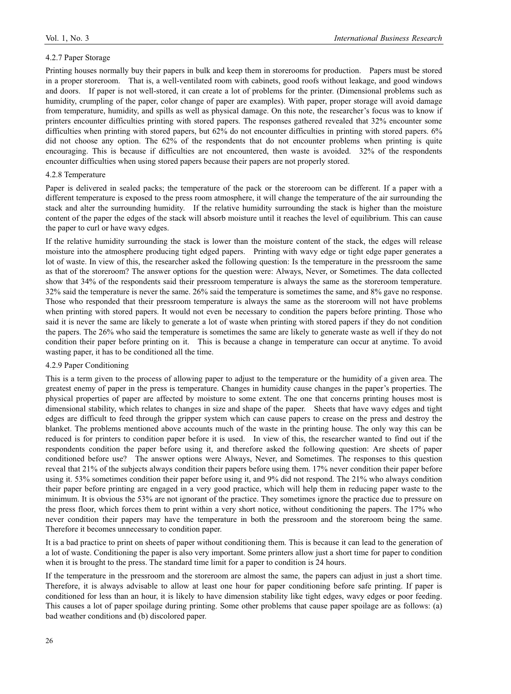#### 4.2.7 Paper Storage

Printing houses normally buy their papers in bulk and keep them in storerooms for production. Papers must be stored in a proper storeroom. That is, a well-ventilated room with cabinets, good roofs without leakage, and good windows and doors. If paper is not well-stored, it can create a lot of problems for the printer. (Dimensional problems such as humidity, crumpling of the paper, color change of paper are examples). With paper, proper storage will avoid damage from temperature, humidity, and spills as well as physical damage. On this note, the researcher's focus was to know if printers encounter difficulties printing with stored papers. The responses gathered revealed that 32% encounter some difficulties when printing with stored papers, but 62% do not encounter difficulties in printing with stored papers. 6% did not choose any option. The 62% of the respondents that do not encounter problems when printing is quite encouraging. This is because if difficulties are not encountered, then waste is avoided. 32% of the respondents encounter difficulties when using stored papers because their papers are not properly stored.

### 4.2.8 Temperature

Paper is delivered in sealed packs; the temperature of the pack or the storeroom can be different. If a paper with a different temperature is exposed to the press room atmosphere, it will change the temperature of the air surrounding the stack and alter the surrounding humidity. If the relative humidity surrounding the stack is higher than the moisture content of the paper the edges of the stack will absorb moisture until it reaches the level of equilibrium. This can cause the paper to curl or have wavy edges.

If the relative humidity surrounding the stack is lower than the moisture content of the stack, the edges will release moisture into the atmosphere producing tight edged papers. Printing with wavy edge or tight edge paper generates a lot of waste. In view of this, the researcher asked the following question: Is the temperature in the pressroom the same as that of the storeroom? The answer options for the question were: Always, Never, or Sometimes. The data collected show that 34% of the respondents said their pressroom temperature is always the same as the storeroom temperature. 32% said the temperature is never the same. 26% said the temperature is sometimes the same, and 8% gave no response. Those who responded that their pressroom temperature is always the same as the storeroom will not have problems when printing with stored papers. It would not even be necessary to condition the papers before printing. Those who said it is never the same are likely to generate a lot of waste when printing with stored papers if they do not condition the papers. The 26% who said the temperature is sometimes the same are likely to generate waste as well if they do not condition their paper before printing on it. This is because a change in temperature can occur at anytime. To avoid wasting paper, it has to be conditioned all the time.

### 4.2.9 Paper Conditioning

This is a term given to the process of allowing paper to adjust to the temperature or the humidity of a given area. The greatest enemy of paper in the press is temperature. Changes in humidity cause changes in the paper's properties. The physical properties of paper are affected by moisture to some extent. The one that concerns printing houses most is dimensional stability, which relates to changes in size and shape of the paper. Sheets that have wavy edges and tight edges are difficult to feed through the gripper system which can cause papers to crease on the press and destroy the blanket. The problems mentioned above accounts much of the waste in the printing house. The only way this can be reduced is for printers to condition paper before it is used. In view of this, the researcher wanted to find out if the respondents condition the paper before using it, and therefore asked the following question: Are sheets of paper conditioned before use? The answer options were Always, Never, and Sometimes. The responses to this question reveal that 21% of the subjects always condition their papers before using them. 17% never condition their paper before using it. 53% sometimes condition their paper before using it, and 9% did not respond. The 21% who always condition their paper before printing are engaged in a very good practice, which will help them in reducing paper waste to the minimum. It is obvious the 53% are not ignorant of the practice. They sometimes ignore the practice due to pressure on the press floor, which forces them to print within a very short notice, without conditioning the papers. The 17% who never condition their papers may have the temperature in both the pressroom and the storeroom being the same. Therefore it becomes unnecessary to condition paper.

It is a bad practice to print on sheets of paper without conditioning them. This is because it can lead to the generation of a lot of waste. Conditioning the paper is also very important. Some printers allow just a short time for paper to condition when it is brought to the press. The standard time limit for a paper to condition is 24 hours.

If the temperature in the pressroom and the storeroom are almost the same, the papers can adjust in just a short time. Therefore, it is always advisable to allow at least one hour for paper conditioning before safe printing. If paper is conditioned for less than an hour, it is likely to have dimension stability like tight edges, wavy edges or poor feeding. This causes a lot of paper spoilage during printing. Some other problems that cause paper spoilage are as follows: (a) bad weather conditions and (b) discolored paper.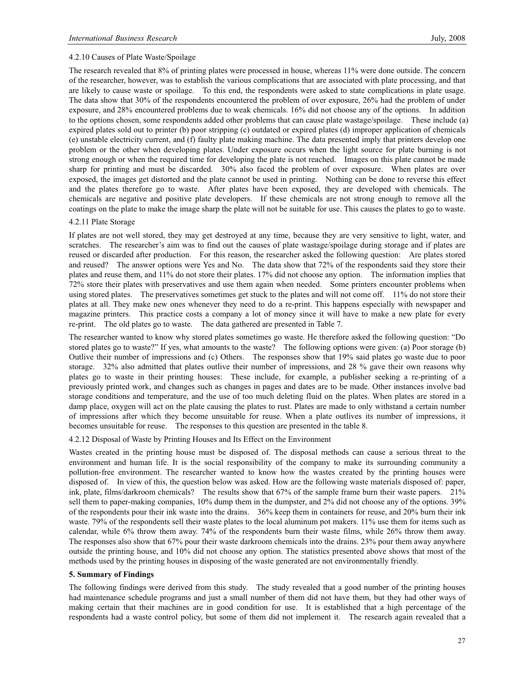#### 4.2.10 Causes of Plate Waste/Spoilage

The research revealed that 8% of printing plates were processed in house, whereas 11% were done outside. The concern of the researcher, however, was to establish the various complications that are associated with plate processing, and that are likely to cause waste or spoilage. To this end, the respondents were asked to state complications in plate usage. The data show that 30% of the respondents encountered the problem of over exposure, 26% had the problem of under exposure, and 28% encountered problems due to weak chemicals. 16% did not choose any of the options. In addition to the options chosen, some respondents added other problems that can cause plate wastage/spoilage. These include (a) expired plates sold out to printer (b) poor stripping (c) outdated or expired plates (d) improper application of chemicals (e) unstable electricity current, and (f) faulty plate making machine. The data presented imply that printers develop one problem or the other when developing plates. Under exposure occurs when the light source for plate burning is not strong enough or when the required time for developing the plate is not reached. Images on this plate cannot be made sharp for printing and must be discarded. 30% also faced the problem of over exposure. When plates are over exposed, the images get distorted and the plate cannot be used in printing. Nothing can be done to reverse this effect and the plates therefore go to waste. After plates have been exposed, they are developed with chemicals. The chemicals are negative and positive plate developers. If these chemicals are not strong enough to remove all the coatings on the plate to make the image sharp the plate will not be suitable for use. This causes the plates to go to waste.

#### 4.2.11 Plate Storage

If plates are not well stored, they may get destroyed at any time, because they are very sensitive to light, water, and scratches. The researcher's aim was to find out the causes of plate wastage/spoilage during storage and if plates are reused or discarded after production. For this reason, the researcher asked the following question: Are plates stored and reused? The answer options were Yes and No. The data show that 72% of the respondents said they store their plates and reuse them, and 11% do not store their plates. 17% did not choose any option. The information implies that 72% store their plates with preservatives and use them again when needed. Some printers encounter problems when using stored plates. The preservatives sometimes get stuck to the plates and will not come off. 11% do not store their plates at all. They make new ones whenever they need to do a re-print. This happens especially with newspaper and magazine printers. This practice costs a company a lot of money since it will have to make a new plate for every re-print. The old plates go to waste. The data gathered are presented in Table 7.

The researcher wanted to know why stored plates sometimes go waste. He therefore asked the following question: "Do stored plates go to waste?" If yes, what amounts to the waste? The following options were given: (a) Poor storage (b) Outlive their number of impressions and (c) Others. The responses show that 19% said plates go waste due to poor storage. 32% also admitted that plates outlive their number of impressions, and 28 % gave their own reasons why plates go to waste in their printing houses: These include, for example, a publisher seeking a re-printing of a previously printed work, and changes such as changes in pages and dates are to be made. Other instances involve bad storage conditions and temperature, and the use of too much deleting fluid on the plates. When plates are stored in a damp place, oxygen will act on the plate causing the plates to rust. Plates are made to only withstand a certain number of impressions after which they become unsuitable for reuse. When a plate outlives its number of impressions, it becomes unsuitable for reuse. The responses to this question are presented in the table 8.

### 4.2.12 Disposal of Waste by Printing Houses and Its Effect on the Environment

Wastes created in the printing house must be disposed of. The disposal methods can cause a serious threat to the environment and human life. It is the social responsibility of the company to make its surrounding community a pollution-free environment. The researcher wanted to know how the wastes created by the printing houses were disposed of. In view of this, the question below was asked. How are the following waste materials disposed of: paper, ink, plate, films/darkroom chemicals? The results show that 67% of the sample frame burn their waste papers. 21% sell them to paper-making companies, 10% dump them in the dumpster, and 2% did not choose any of the options. 39% of the respondents pour their ink waste into the drains. 36% keep them in containers for reuse, and 20% burn their ink waste. 79% of the respondents sell their waste plates to the local aluminum pot makers. 11% use them for items such as calendar, while 6% throw them away. 74% of the respondents burn their waste films, while 26% throw them away. The responses also show that 67% pour their waste darkroom chemicals into the drains. 23% pour them away anywhere outside the printing house, and 10% did not choose any option. The statistics presented above shows that most of the methods used by the printing houses in disposing of the waste generated are not environmentally friendly.

#### **5. Summary of Findings**

The following findings were derived from this study. The study revealed that a good number of the printing houses had maintenance schedule programs and just a small number of them did not have them, but they had other ways of making certain that their machines are in good condition for use. It is established that a high percentage of the respondents had a waste control policy, but some of them did not implement it. The research again revealed that a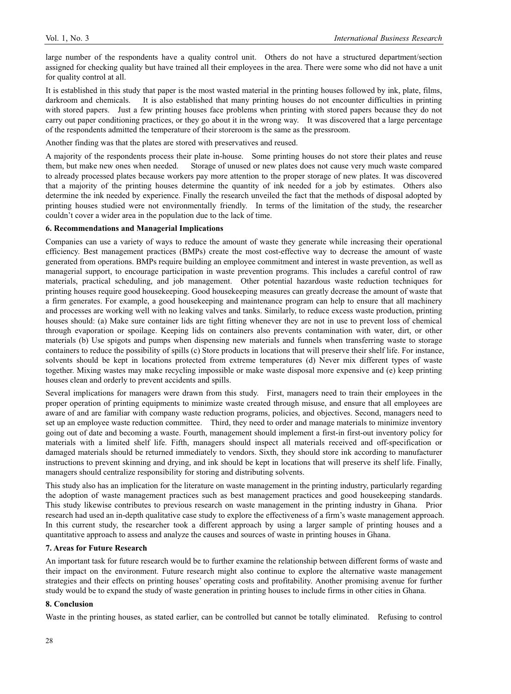large number of the respondents have a quality control unit. Others do not have a structured department/section assigned for checking quality but have trained all their employees in the area. There were some who did not have a unit for quality control at all.

It is established in this study that paper is the most wasted material in the printing houses followed by ink, plate, films, darkroom and chemicals. It is also established that many printing houses do not encounter difficulties in printing with stored papers. Just a few printing houses face problems when printing with stored papers because they do not carry out paper conditioning practices, or they go about it in the wrong way. It was discovered that a large percentage of the respondents admitted the temperature of their storeroom is the same as the pressroom.

Another finding was that the plates are stored with preservatives and reused.

A majority of the respondents process their plate in-house. Some printing houses do not store their plates and reuse them, but make new ones when needed. Storage of unused or new plates does not cause very much waste compared to already processed plates because workers pay more attention to the proper storage of new plates. It was discovered that a majority of the printing houses determine the quantity of ink needed for a job by estimates. Others also determine the ink needed by experience. Finally the research unveiled the fact that the methods of disposal adopted by printing houses studied were not environmentally friendly. In terms of the limitation of the study, the researcher couldn't cover a wider area in the population due to the lack of time.

#### **6. Recommendations and Managerial Implications**

Companies can use a variety of ways to reduce the amount of waste they generate while increasing their operational efficiency. Best management practices (BMPs) create the most cost-effective way to decrease the amount of waste generated from operations. BMPs require building an employee commitment and interest in waste prevention, as well as managerial support, to encourage participation in waste prevention programs. This includes a careful control of raw materials, practical scheduling, and job management. Other potential hazardous waste reduction techniques for printing houses require good housekeeping. Good housekeeping measures can greatly decrease the amount of waste that a firm generates. For example, a good housekeeping and maintenance program can help to ensure that all machinery and processes are working well with no leaking valves and tanks. Similarly, to reduce excess waste production, printing houses should: (a) Make sure container lids are tight fitting whenever they are not in use to prevent loss of chemical through evaporation or spoilage. Keeping lids on containers also prevents contamination with water, dirt, or other materials (b) Use spigots and pumps when dispensing new materials and funnels when transferring waste to storage containers to reduce the possibility of spills (c) Store products in locations that will preserve their shelf life. For instance, solvents should be kept in locations protected from extreme temperatures (d) Never mix different types of waste together. Mixing wastes may make recycling impossible or make waste disposal more expensive and (e) keep printing houses clean and orderly to prevent accidents and spills.

Several implications for managers were drawn from this study. First, managers need to train their employees in the proper operation of printing equipments to minimize waste created through misuse, and ensure that all employees are aware of and are familiar with company waste reduction programs, policies, and objectives. Second, managers need to set up an employee waste reduction committee. Third, they need to order and manage materials to minimize inventory going out of date and becoming a waste. Fourth, management should implement a first-in first-out inventory policy for materials with a limited shelf life. Fifth, managers should inspect all materials received and off-specification or damaged materials should be returned immediately to vendors. Sixth, they should store ink according to manufacturer instructions to prevent skinning and drying, and ink should be kept in locations that will preserve its shelf life. Finally, managers should centralize responsibility for storing and distributing solvents.

This study also has an implication for the literature on waste management in the printing industry, particularly regarding the adoption of waste management practices such as best management practices and good housekeeping standards. This study likewise contributes to previous research on waste management in the printing industry in Ghana. Prior research had used an in-depth qualitative case study to explore the effectiveness of a firm's waste management approach. In this current study, the researcher took a different approach by using a larger sample of printing houses and a quantitative approach to assess and analyze the causes and sources of waste in printing houses in Ghana.

#### **7. Areas for Future Research**

An important task for future research would be to further examine the relationship between different forms of waste and their impact on the environment. Future research might also continue to explore the alternative waste management strategies and their effects on printing houses' operating costs and profitability. Another promising avenue for further study would be to expand the study of waste generation in printing houses to include firms in other cities in Ghana.

#### **8. Conclusion**

Waste in the printing houses, as stated earlier, can be controlled but cannot be totally eliminated. Refusing to control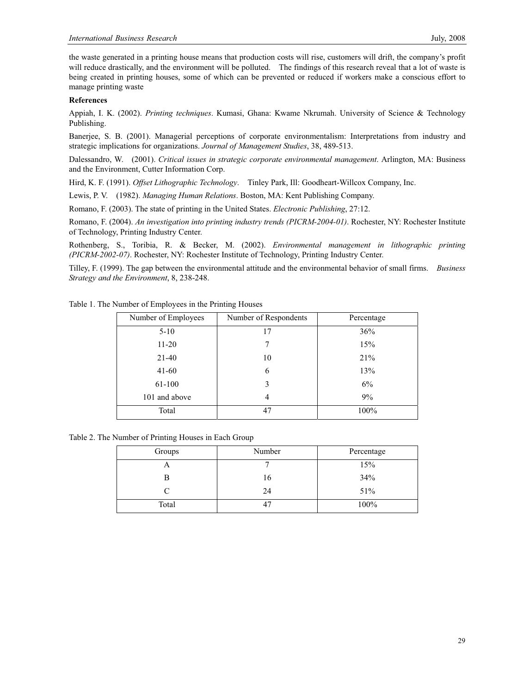the waste generated in a printing house means that production costs will rise, customers will drift, the company's profit will reduce drastically, and the environment will be polluted. The findings of this research reveal that a lot of waste is being created in printing houses, some of which can be prevented or reduced if workers make a conscious effort to manage printing waste

### **References**

Appiah, I. K. (2002). *Printing techniques*. Kumasi, Ghana: Kwame Nkrumah. University of Science & Technology Publishing.

Banerjee, S. B. (2001). Managerial perceptions of corporate environmentalism: Interpretations from industry and strategic implications for organizations. *Journal of Management Studies*, 38, 489-513.

Dalessandro, W. (2001). *Critical issues in strategic corporate environmental management*. Arlington, MA: Business and the Environment, Cutter Information Corp.

Hird, K. F. (1991). *Offset Lithographic Technology*. Tinley Park, Ill: Goodheart-Willcox Company, Inc.

Lewis, P. V. (1982). *Managing Human Relations*. Boston, MA: Kent Publishing Company.

Romano, F. (2003). The state of printing in the United States. *Electronic Publishing*, 27:12.

Romano, F. (2004). *An investigation into printing industry trends (PICRM-2004-01)*. Rochester, NY: Rochester Institute of Technology, Printing Industry Center.

Rothenberg, S., Toribia, R. & Becker, M. (2002). *Environmental management in lithographic printing (PICRM-2002-07)*. Rochester, NY: Rochester Institute of Technology, Printing Industry Center.

Tilley, F. (1999). The gap between the environmental attitude and the environmental behavior of small firms. *Business Strategy and the Environment*, 8, 238-248.

| Number of Employees | Number of Respondents | Percentage |
|---------------------|-----------------------|------------|
| $5 - 10$            | 17                    | 36%        |
| $11 - 20$           |                       | 15%        |
| $21-40$             | 10                    | 21%        |
| $41 - 60$           | 6                     | 13%        |
| 61-100              | 3                     | 6%         |
| 101 and above       | 4                     | 9%         |
| Total               | 47                    | 100%       |

Table 1. The Number of Employees in the Printing Houses

Table 2. The Number of Printing Houses in Each Group

| Groups | Number | Percentage |
|--------|--------|------------|
| ◠      |        | 15%        |
| В      | 16     | 34%        |
|        | 24     | 51%        |
| Total  |        | 100%       |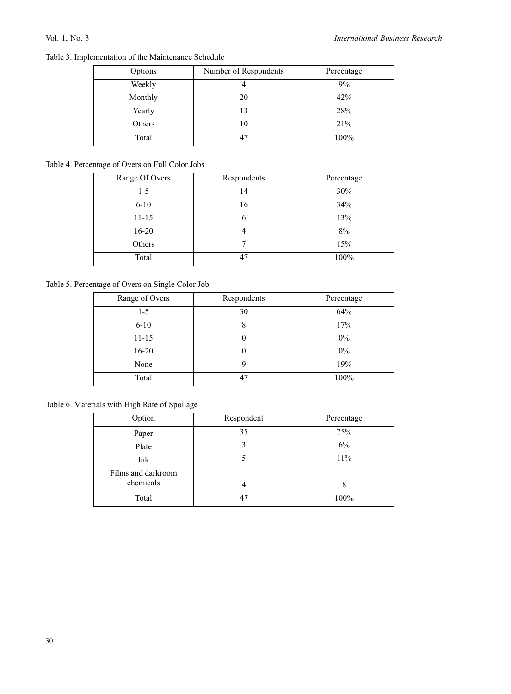| Table 3. Implementation of the Maintenance Schedule |  |  |
|-----------------------------------------------------|--|--|
|-----------------------------------------------------|--|--|

| Options | Number of Respondents | Percentage |
|---------|-----------------------|------------|
| Weekly  |                       | 9%         |
| Monthly | 20                    | 42%        |
| Yearly  | 13                    | 28%        |
| Others  | 10                    | 21%        |
| Total   |                       | 100%       |

# Table 4. Percentage of Overs on Full Color Jobs

| Range Of Overs | Respondents | Percentage |
|----------------|-------------|------------|
| $1 - 5$        | 14          | 30%        |
| $6 - 10$       | 16          | 34%        |
| $11 - 15$      | 6           | 13%        |
| $16 - 20$      |             | 8%         |
| Others         |             | 15%        |
| Total          | 47          | 100%       |

# Table 5. Percentage of Overs on Single Color Job

| Range of Overs | Respondents | Percentage |
|----------------|-------------|------------|
| $1-5$          | 30          | 64%        |
| $6 - 10$       | 8           | 17%        |
| $11 - 15$      | 0           | $0\%$      |
| $16 - 20$      |             | $0\%$      |
| None           | 9           | 19%        |
| Total          | 47          | 100%       |

# Table 6. Materials with High Rate of Spoilage

| Option             | Respondent | Percentage |
|--------------------|------------|------------|
| Paper              | 35         | 75%        |
| Plate              | 3          | 6%         |
| Ink                |            | 11%        |
| Films and darkroom |            |            |
| chemicals          | 4          | 8          |
| Total              | 47         | 100%       |